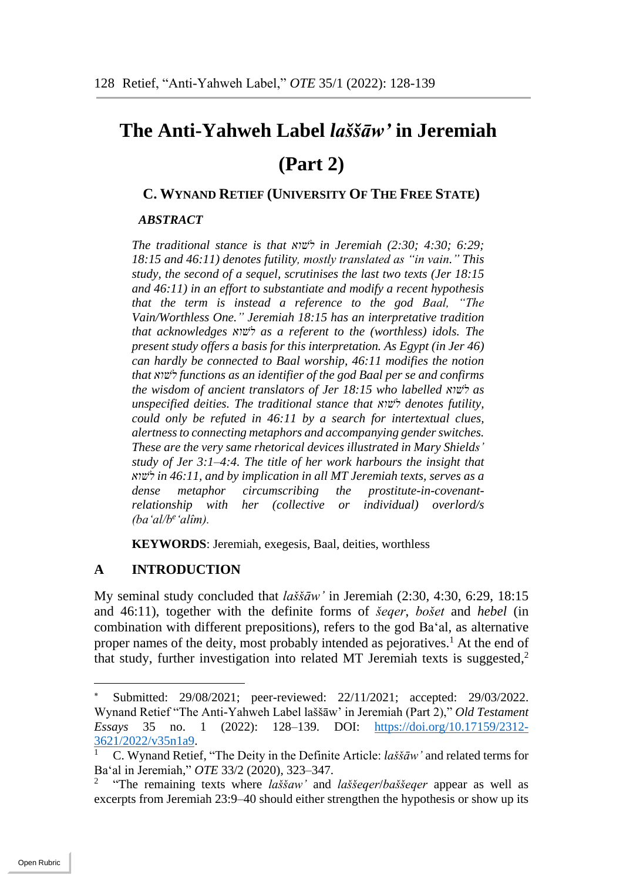# **The Anti-Yahweh Label** *laššāw'* **in Jeremiah (Part 2)**

# **C. WYNAND RETIEF (UNIVERSITY OF THE FREE STATE)**

### *ABSTRACT*

*The traditional stance is that שואׁל in Jeremiah (2:30; 4:30; 6:29; 18:15 and 46:11) denotes futility, mostly translated as "in vain." This study, the second of a sequel, scrutinises the last two texts (Jer 18:15 and 46:11) in an effort to substantiate and modify a recent hypothesis that the term is instead a reference to the god Baal, "The Vain/Worthless One." Jeremiah 18:15 has an interpretative tradition that acknowledges שואׁל as a referent to the (worthless) idols. The present study offers a basis for this interpretation. As Egypt (in Jer 46) can hardly be connected to Baal worship, 46:11 modifies the notion that שואׁל functions as an identifier of the god Baal per se and confirms the wisdom of ancient translators of Jer 18:15 who labelled שואׁל as unspecified deities. The traditional stance that שואׁל denotes futility, could only be refuted in 46:11 by a search for intertextual clues, alertness to connecting metaphors and accompanying gender switches. These are the very same rhetorical devices illustrated in Mary Shields' study of Jer 3:1–4:4. The title of her work harbours the insight that שואׁל in 46:11, and by implication in all MT Jeremiah texts, serves as a dense metaphor circumscribing the prostitute-in-covenantrelationship with her (collective or individual) overlord/s (ba'al/b<sup>e</sup> 'alîm).* 

**KEYWORDS**: Jeremiah, exegesis, Baal, deities, worthless

# **A INTRODUCTION**

My seminal study concluded that *laššāw'* in Jeremiah (2:30, 4:30, 6:29, 18:15 and 46:11), together with the definite forms of *šeqer*, *bošet* and *hebel* (in combination with different prepositions), refers to the god Baʻal, as alternative proper names of the deity, most probably intended as pejoratives. <sup>1</sup> At the end of that study, further investigation into related MT Jeremiah texts is suggested, 2

Submitted: 29/08/2021; peer-reviewed: 22/11/2021; accepted: 29/03/2022. Wynand Retief "The Anti-Yahweh Label laššāw' in Jeremiah (Part 2)," *Old Testament Essays* 35 no. 1 (2022): 128–139. DOI: [https://doi.org/10.17159/2312-](https://doi.org/10.17159/2312-3621/2022/v35n1a9) [3621/2022/v35n1a9.](https://doi.org/10.17159/2312-3621/2022/v35n1a9)

<sup>1</sup> C. Wynand Retief, "The Deity in the Definite Article: *laššāw'* and related terms for Ba'al in Jeremiah," *OTE* 33/2 (2020), 323–347.

<sup>2</sup> "The remaining texts where *laššaw'* and *laššeqer*/*baššeqer* appear as well as excerpts from Jeremiah 23:9–40 should either strengthen the hypothesis or show up its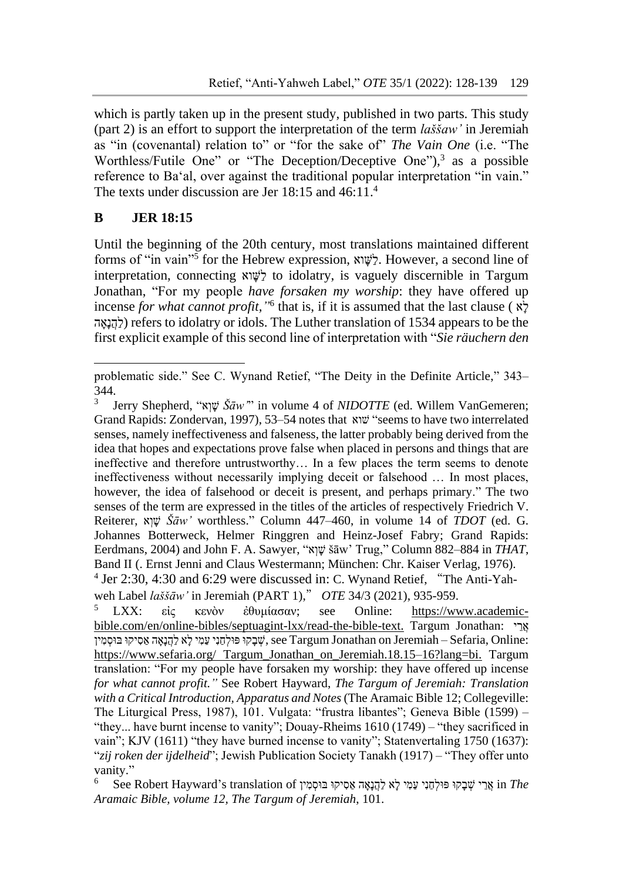which is partly taken up in the present study, published in two parts. This study (part 2) is an effort to support the interpretation of the term *laššaw'* in Jeremiah as "in (covenantal) relation to" or "for the sake of" *The Vain One* (i.e. "The Worthless/Futile One" or "The Deception/Deceptive One"),<sup>3</sup> as a possible reference to Ba'al, over against the traditional popular interpretation "in vain." The texts under discussion are Jer 18:15 and 46:11.4

### **B JER 18:15**

1

Until the beginning of the 20th century, most translations maintained different forms of "in vain"<sup>5</sup> for the Hebrew expression, לֹשֶׁוֹא. However, a second line of interpretation, connecting וא ָּׁשַל to idolatry, is vaguely discernible in Targum Jonathan, "For my people *have forsaken my worship*: they have offered up incense *for what cannot profit,"* 6 that is, if it is assumed that the last clause ( אָּׁל לְהֵנאָה) refers to idolatry or idols. The Luther translation of 1534 appears to be the first explicit example of this second line of interpretation with "*Sie räuchern den* 

problematic side." See C. Wynand Retief, "The Deity in the Definite Article," 343– 344.

<sup>3</sup> Jerry Shepherd, "א ְו ָּׁש *Šāw'*" in volume 4 of *NIDOTTE* (ed. Willem VanGemeren; Grand Rapids: Zondervan, 1997), 53–54 notes that שוא" seems to have two interrelated senses, namely ineffectiveness and falseness, the latter probably being derived from the idea that hopes and expectations prove false when placed in persons and things that are ineffective and therefore untrustworthy… In a few places the term seems to denote ineffectiveness without necessarily implying deceit or falsehood … In most places, however, the idea of falsehood or deceit is present, and perhaps primary." The two senses of the term are expressed in the titles of the articles of respectively Friedrich V. Reiterer, א ְו ָּׁש *Šāw'* worthless." Column 447–460, in volume 14 of *TDOT* (ed. G. Johannes Botterweck, Helmer Ringgren and Heinz-Josef Fabry; Grand Rapids: Eerdmans, 2004) and John F. A. Sawyer, "א ְו ָּׁש šāw' Trug," Column 882–884 in *THAT*, Band II (. Ernst Jenni and Claus Westermann; München: Chr. Kaiser Verlag, 1976). <sup>4</sup> Jer 2:30, 4:30 and 6:29 were discussed in: C. Wynand Retief, "The Anti-Yah-

weh Label *laššāw'* in Jeremiah (PART 1)," *OTE* 34/3 (2021), 935-959.

<sup>5</sup> LXX: εἰς κενὸν ἐθυμίασαν; see Online: [https://www.academic](https://www.academic-bible.com/en/online-bibles/septuagint-lxx/read-the-bible-text)[bible.com/en/online-bibles/septuagint-lxx/read-the-bible-text.](https://www.academic-bible.com/en/online-bibles/septuagint-lxx/read-the-bible-text) Targum Jonathan: אֵרִ שְׁבָּקוּ פּוּלְחָנִי עֲמִי לָא לַהֲנַאֵּה אַסִיקוּ בּוּסְמִין see Targum Jonathan on Jeremiah – Sefaria, Online: [https://www.sefaria.org/ Targum\\_Jonathan\\_on\\_Jeremiah.18.15–16?lang=bi.](https://www.sefaria.org/%20Targum_Jonathan_on_Jeremiah.18.15-16?lang=bi) Targum translation: "For my people have forsaken my worship: they have offered up incense *for what cannot profit."* See Robert Hayward, *The Targum of Jeremiah: Translation with a Critical Introduction, Apparatus and Notes* (The Aramaic Bible 12; Collegeville: The Liturgical Press, 1987), 101. Vulgata: "frustra libantes"; Geneva Bible (1599) – "they... have burnt incense to vanity"; Douay-Rheims 1610 (1749) ‒ "they sacrificed in vain"; KJV (1611) "they have burned incense to vanity"; Statenvertaling 1750 (1637): "*zij roken der ijdelheid*"; Jewish Publication Society Tanakh (1917) ‒ "They offer unto vanity."

<sup>&</sup>lt;sup>6</sup> See Robert Hayward's translation of אֲרֵי שָׁבָקוּ פּוּלְחַנִי עֲמִי לָא לַ<u>הֲנָאָה א</u>ַסִיקוּ בּוּסָמִין En The *Aramaic Bible, volume 12, The Targum of Jeremiah*, 101.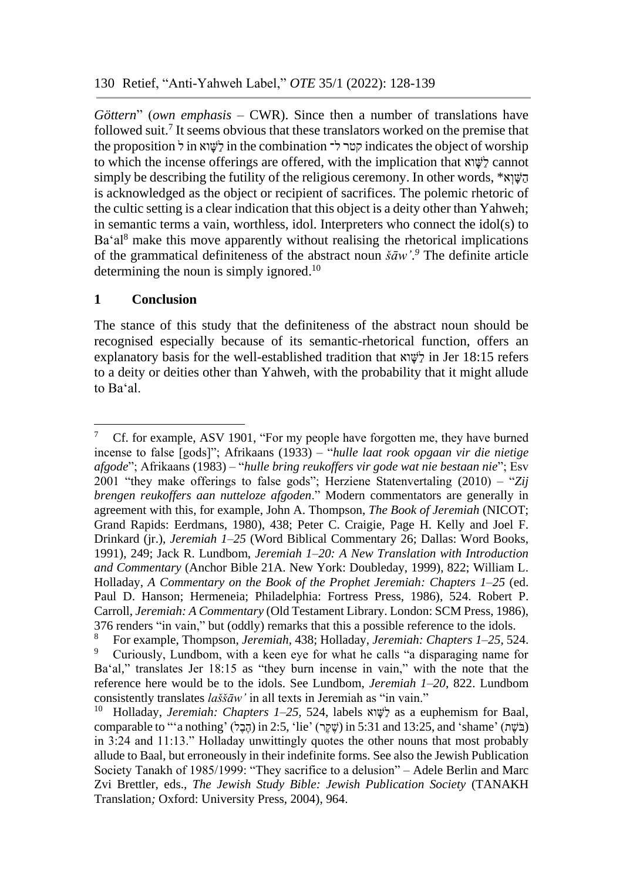*Göttern*" (*own emphasis* – CWR). Since then a number of translations have followed suit. 7 It seems obvious that these translators worked on the premise that the proposition לְשֵׁוֹא in the combination קטר ל־ indicates the object of worship to which the incense offerings are offered, with the implication that  $\mathbb{S}^1$  cannot simply be describing the futility of the religious ceremony. In other words, \*איגא is acknowledged as the object or recipient of sacrifices. The polemic rhetoric of the cultic setting is a clear indication that this object is a deity other than Yahweh; in semantic terms a vain, worthless, idol. Interpreters who connect the idol(s) to Ba'al<sup>8</sup> make this move apparently without realising the rhetorical implications of the grammatical definiteness of the abstract noun  $\bar{s}$ *aw*'.<sup>9</sup> The definite article determining the noun is simply ignored.<sup>10</sup>

#### **1 Conclusion**

The stance of this study that the definiteness of the abstract noun should be recognised especially because of its semantic-rhetorical function, offers an explanatory basis for the well-established tradition that  $\forall \forall \forall$  in Jer 18:15 refers to a deity or deities other than Yahweh, with the probability that it might allude to Baʻal.

<sup>&</sup>lt;u>.</u> <sup>7</sup> Cf. for example, ASV 1901, "For my people have forgotten me, they have burned incense to false [gods]"; Afrikaans (1933) ‒ "*hulle laat rook opgaan vir die nietige afgode*"; Afrikaans (1983) ‒ "*hulle bring reukoffers vir gode wat nie bestaan nie*"; Esv 2001 "they make offerings to false gods"; Herziene Statenvertaling (2010) ‒ "*Zij brengen reukoffers aan nutteloze afgoden*." Modern commentators are generally in agreement with this, for example, John A. Thompson, *The Book of Jeremiah* (NICOT; Grand Rapids: Eerdmans, 1980), 438; Peter C. Craigie, Page H. Kelly and Joel F. Drinkard (jr.), *Jeremiah 1–25* (Word Biblical Commentary 26; Dallas: Word Books, 1991), 249; Jack R. Lundbom, *Jeremiah 1–20: A New Translation with Introduction and Commentary* (Anchor Bible 21A. New York: Doubleday, 1999), 822; William L. Holladay, *A Commentary on the Book of the Prophet Jeremiah: Chapters 1–25* (ed. Paul D. Hanson; Hermeneia; Philadelphia: Fortress Press, 1986), 524. Robert P. Carroll, *Jeremiah: A Commentary* (Old Testament Library. London: SCM Press, 1986), 376 renders "in vain," but (oddly) remarks that this a possible reference to the idols.

<sup>8</sup> For example, Thompson, *Jeremiah,* 438; Holladay, *Jeremiah: Chapters 1–25*, 524. <sup>9</sup> Curiously, Lundbom, with a keen eye for what he calls "a disparaging name for Baʻal," translates Jer 18:15 as "they burn incense in vain," with the note that the reference here would be to the idols. See Lundbom, *Jeremiah 1–20*, 822. Lundbom consistently translates *laššāw'* in all texts in Jeremiah as "in vain."

<sup>&</sup>lt;sup>10</sup> Holladay, *Jeremiah: Chapters 1–25*, 524, labels ואָצּוֹא as a euphemism for Baal, comparable to "'a nothing' (הֶבֶל) in 2:5, 'lie' (שֶׁקֵר) in 5:31 and 13:25, and 'shame' (בֹּשֵׁת) in 3:24 and 11:13." Holladay unwittingly quotes the other nouns that most probably allude to Baal, but erroneously in their indefinite forms. See also the Jewish Publication Society Tanakh of 1985/1999: "They sacrifice to a delusion" - Adele Berlin and Marc Zvi Brettler, eds., *The Jewish Study Bible: Jewish Publication Society* (TANAKH Translation*;* Oxford: University Press, 2004), 964.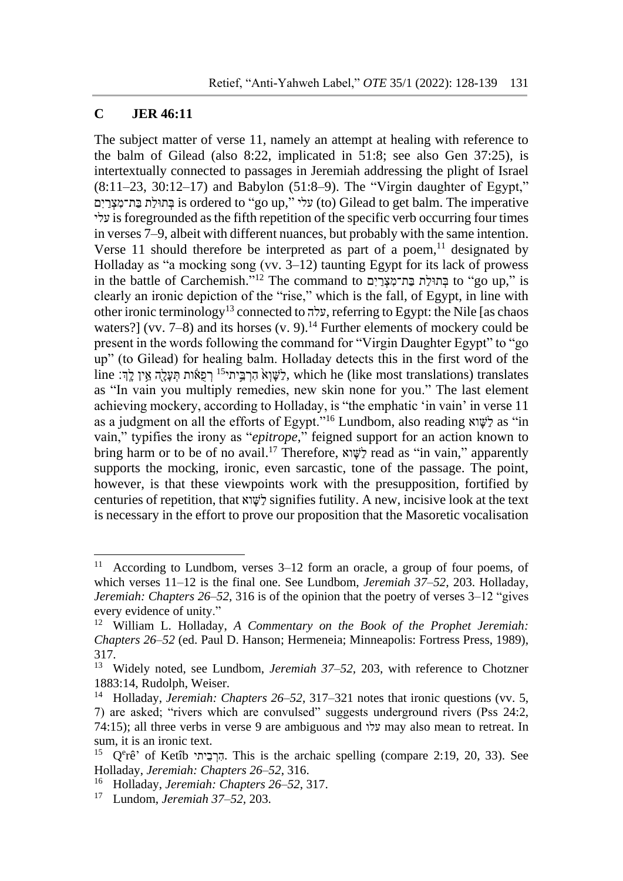#### **C JER 46:11**

1

The subject matter of verse 11, namely an attempt at healing with reference to the balm of Gilead (also 8:22, implicated in 51:8; see also Gen 37:25), is intertextually connected to passages in Jeremiah addressing the plight of Israel (8:11–23, 30:12–17) and Babylon (51:8–9). The "Virgin daughter of Egypt," םִי ַר ְצ ִת־מַבּ תַולּת ְבּ is ordered to "go up," עלי) to) Gilead to get balm. The imperative עלי is foregrounded as the fifth repetition of the specific verb occurring four times in verses 7–9, albeit with different nuances, but probably with the same intention. Verse 11 should therefore be interpreted as part of a poem, $<sup>11</sup>$  designated by</sup> Holladay as "a mocking song (vv.  $3-12$ ) taunting Egypt for its lack of prowess in the battle of Carchemish."<sup>12</sup> The command to בְּתוּלַת בַּת־מִצְרַיִם to "go up," is clearly an ironic depiction of the "rise," which is the fall, of Egypt, in line with other ironic terminology<sup>13</sup> connected to עלה, referring to Egypt: the Nile [as chaos waters?] (vv.  $7-8$ ) and its horses (v. 9).<sup>14</sup> Further elements of mockery could be present in the words following the command for "Virgin Daughter Egypt" to "go up" (to Gilead) for healing balm. Holladay detects this in the first word of the  $\lim_{n \to \infty} \frac{15}{n}$ רְ הַרְבֵּיתי<sup>15</sup> רְפָאֹוֹת תְּעַלָּהְ אֵיִן לַדְּ $\lim_{n \to \infty} \frac{15}{n}$ יִ as "In vain you multiply remedies, new skin none for you." The last element achieving mockery, according to Holladay, is "the emphatic 'in vain' in verse 11 as a judgment on all the efforts of Egypt."<sup>16</sup> Lundbom, also reading וא ג'שָׂא as "in vain," typifies the irony as "*epitrope*," feigned support for an action known to bring harm or to be of no avail.<sup>17</sup> Therefore, אָשׁוא read as "in vain," apparently supports the mocking, ironic, even sarcastic, tone of the passage. The point, however, is that these viewpoints work with the presupposition, fortified by centuries of repetition, that  $x \in \mathcal{Y}$  signifies futility. A new, incisive look at the text is necessary in the effort to prove our proposition that the Masoretic vocalisation

<sup>&</sup>lt;sup>11</sup> According to Lundbom, verses  $3-12$  form an oracle, a group of four poems, of which verses 11–12 is the final one. See Lundbom, *Jeremiah 37–52,* 203. Holladay, *Jeremiah: Chapters 26–52*, 316 is of the opinion that the poetry of verses 3–12 "gives every evidence of unity."

<sup>12</sup> William L. Holladay, *A Commentary on the Book of the Prophet Jeremiah: Chapters 26–52* (ed. Paul D. Hanson; Hermeneia; Minneapolis: Fortress Press, 1989), 317.

<sup>13</sup> Widely noted, see Lundbom, *Jeremiah 37–52,* 203, with reference to Chotzner 1883:14, Rudolph, Weiser.

<sup>14</sup> Holladay, *Jeremiah: Chapters 26–52*, 317–321 notes that ironic questions (vv. 5, 7) are asked; "rivers which are convulsed" suggests underground rivers (Pss 24:2, 74:15); all three verbs in verse 9 are ambiguous and עלו may also mean to retreat. In sum, it is an ironic text.

<sup>&</sup>lt;sup>15</sup> Q<sup>e</sup>rê' of Ketîb הִרְבֵיתי. This is the archaic spelling (compare 2:19, 20, 33). See Holladay, *Jeremiah: Chapters 26–52*, 316.

<sup>16</sup> Holladay, *Jeremiah: Chapters 26–52*, 317.

<sup>17</sup> Lundom, *Jeremiah 37–52,* 203.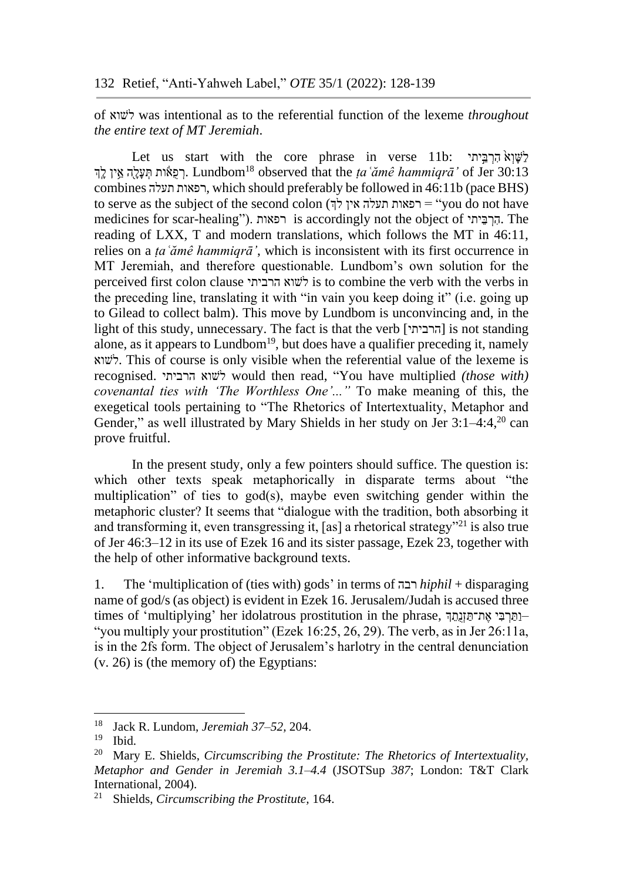of לשוא was intentional as to the referential function of the lexeme *throughout the entire text of MT Jeremiah*.

Let us start with the core phrase in verse 11b: לְשׁוָא הַרְבֵּיִת ּרְפָאוֹת תִּעֲלָהְ אֵין לַדְּ, Lundbom<sup>18</sup> observed that the ta 'ame hammiqra' of Jer 30:13 combines תעלה רפאות, which should preferably be followed in 46:11b (pace BHS) to serve as the subject of the second colon (רפאות תעלה אין לך medicines for scar-healing"). רפאות is accordingly not the object of יהַרְבֵּית. The reading of LXX, T and modern translations, which follows the MT in 46:11, relies on a *ṭaʿămê hammiqrā'*, which is inconsistent with its first occurrence in MT Jeremiah, and therefore questionable. Lundbom's own solution for the perceived first colon clause הרביתי לשוא is to combine the verb with the verbs in the preceding line, translating it with "in vain you keep doing it" (i.e. going up to Gilead to collect balm). This move by Lundbom is unconvincing and, in the light of this study, unnecessary. The fact is that the verb [הרביתי [is not standing alone, as it appears to Lundbom<sup>19</sup>, but does have a qualifier preceding it, namely לשוא. This of course is only visible when the referential value of the lexeme is recognised. הרביתי לשוא would then read, "You have multiplied *(those with) covenantal ties with 'The Worthless One'..."* To make meaning of this, the exegetical tools pertaining to "The Rhetorics of Intertextuality, Metaphor and Gender," as well illustrated by Mary Shields in her study on Jer 3:1–4:4,<sup>20</sup> can prove fruitful.

In the present study, only a few pointers should suffice. The question is: which other texts speak metaphorically in disparate terms about "the multiplication" of ties to god(s), maybe even switching gender within the metaphoric cluster? It seems that "dialogue with the tradition, both absorbing it and transforming it, even transgressing it, [as] a rhetorical strategy"<sup>21</sup> is also true of Jer 46:3–12 in its use of Ezek 16 and its sister passage, Ezek 23, together with the help of other informative background texts.

1. The 'multiplication of (ties with) gods' in terms of רבה *hiphil* + disparaging name of god/s (as object) is evident in Ezek 16. Jerusalem/Judah is accused three times of 'multiplying' her idolatrous prostitution in the phrase, ותּרבִּי את־תּוֹנתה-"you multiply your prostitution" (Ezek 16:25, 26, 29). The verb, as in Jer 26:11a, is in the 2fs form. The object of Jerusalem's harlotry in the central denunciation (v. 26) is (the memory of) the Egyptians:

<sup>18</sup> Jack R. Lundom, *Jeremiah 37–52,* 204.

 $\frac{19}{20}$  Ibid.

<sup>20</sup> Mary E. Shields, *Circumscribing the Prostitute: The Rhetorics of Intertextuality, Metaphor and Gender in Jeremiah 3.1–4.4* (JSOTSup *387*; London: T&T Clark International, 2004).

<sup>21</sup> Shields, *Circumscribing the Prostitute,* 164.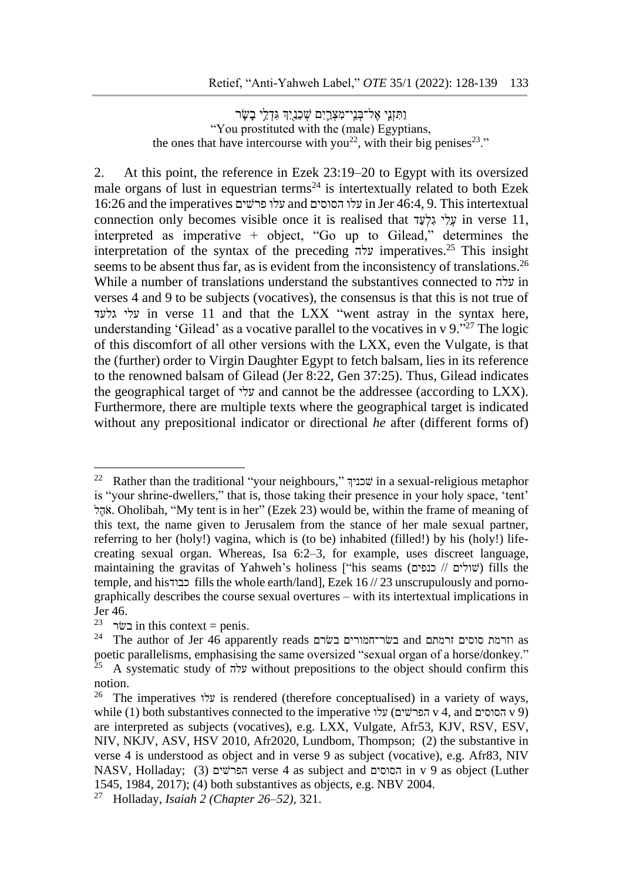וַתִּזְנֵי אֱל־בְּנֵי־מִצְרֵיִם שִׁכְנַיִךְ גִּדְלֵי בַשַּׂר "You prostituted with the (male) Egyptians, the ones that have intercourse with you<sup>22</sup>, with their big penises<sup>23</sup>."

2. At this point, the reference in Ezek 23:19–20 to Egypt with its oversized male organs of lust in equestrian terms<sup>24</sup> is intertextually related to both Ezek 16:26 and the imperatives פרשים עלו and הסוסים עלו in Jer 46:4, 9. This intertextual connection only becomes visible once it is realised that עֲלֵי גִלְעָד in verse 11, interpreted as imperative + object, "Go up to Gilead," determines the interpretation of the syntax of the preceding עלה imperatives.<sup>25</sup> This insight seems to be absent thus far, as is evident from the inconsistency of translations.<sup>26</sup> While a number of translations understand the substantives connected to עלה in verses 4 and 9 to be subjects (vocatives), the consensus is that this is not true of עלי גלעד in verse 11 and that the LXX "went astray in the syntax here, understanding 'Gilead' as a vocative parallel to the vocatives in  $v$  9. $v^{27}$  The logic of this discomfort of all other versions with the LXX, even the Vulgate, is that the (further) order to Virgin Daughter Egypt to fetch balsam, lies in its reference to the renowned balsam of Gilead (Jer 8:22, Gen 37:25). Thus, Gilead indicates the geographical target of עלי and cannot be the addressee (according to LXX). Furthermore, there are multiple texts where the geographical target is indicated without any prepositional indicator or directional *he* after (different forms of)

<sup>&</sup>lt;sup>22</sup> Rather than the traditional "your neighbours," שכניף in a sexual-religious metaphor is "your shrine-dwellers," that is, those taking their presence in your holy space, 'tent' לֶהֹּא. Oholibah, "My tent is in her" (Ezek 23) would be, within the frame of meaning of this text, the name given to Jerusalem from the stance of her male sexual partner, referring to her (holy!) vagina, which is (to be) inhabited (filled!) by his (holy!) lifecreating sexual organ. Whereas, Isa 6:2–3, for example, uses discreet language, maintaining the gravitas of Yahweh's holiness ["his seams (כנפים // שולים (fills the temple, and his כבוד fills the whole earth/land], Ezek  $16$  // 23 unscrupulously and pornographically describes the course sexual overtures – with its intertextual implications in Jer 46.

<sup>&</sup>lt;sup>23</sup> בשר in this context = penis.

 $^{24}\,$  The author of Jer 46 apparently reads נשר־חמורים בשר־חמורים and זרמתם זרמתם as poetic parallelisms, emphasising the same oversized "sexual organ of a horse/donkey."<br>
<sup>25</sup> A systematic study of the same oversized "sexual organ of a horse/donkey." <sup>25</sup> A systematic study of עלה without prepositions to the object should confirm this notion.

<sup>&</sup>lt;sup>26</sup> The imperatives עלו is rendered (therefore conceptualised) in a variety of ways, while (1) both substantives connected to the imperative עלו) הפרשים v 4, and הסוסים v 9) are interpreted as subjects (vocatives), e.g. LXX, Vulgate, Afr53, KJV, RSV, ESV, NIV, NKJV, ASV, HSV 2010, Afr2020, Lundbom, Thompson; (2) the substantive in verse 4 is understood as object and in verse 9 as subject (vocative), e.g. Afr83, NIV NASV, Holladay; (3) הפרשים verse 4 as subject and הסוסים in v 9 as object (Luther 1545, 1984, 2017); (4) both substantives as objects, e.g. NBV 2004.

<sup>27</sup> Holladay, *Isaiah 2 (Chapter 26–52),* 321.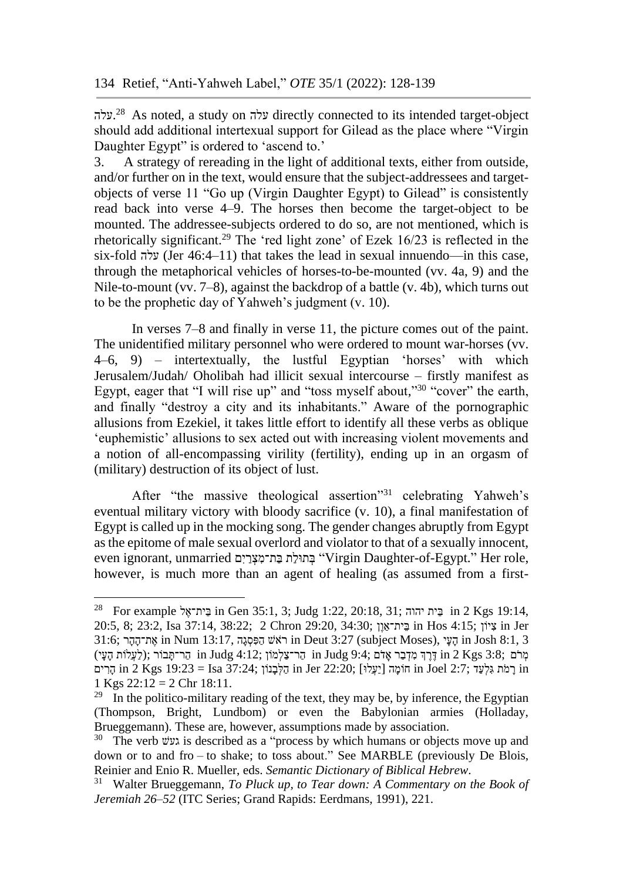.עלה <sup>28</sup> As noted, a study on עלה directly connected to its intended target-object should add additional intertexual support for Gilead as the place where "Virgin Daughter Egypt" is ordered to 'ascend to.'

3. A strategy of rereading in the light of additional texts, either from outside, and/or further on in the text, would ensure that the subject-addressees and targetobjects of verse 11 "Go up (Virgin Daughter Egypt) to Gilead" is consistently read back into verse 4–9. The horses then become the target-object to be mounted. The addressee-subjects ordered to do so, are not mentioned, which is rhetorically significant. <sup>29</sup> The 'red light zone' of Ezek 16/23 is reflected in the six-fold עלה) Jer 46:4–11) that takes the lead in sexual innuendo—in this case, through the metaphorical vehicles of horses-to-be-mounted (vv. 4a, 9) and the Nile-to-mount (vv. 7–8), against the backdrop of a battle (v. 4b), which turns out to be the prophetic day of Yahweh's judgment (v. 10).

In verses 7–8 and finally in verse 11, the picture comes out of the paint. The unidentified military personnel who were ordered to mount war-horses (vv. 4–6, 9) – intertextually, the lustful Egyptian 'horses' with which Jerusalem/Judah/ Oholibah had illicit sexual intercourse – firstly manifest as Egypt, eager that "I will rise up" and "toss myself about,"<sup>30</sup> "cover" the earth, and finally "destroy a city and its inhabitants." Aware of the pornographic allusions from Ezekiel, it takes little effort to identify all these verbs as oblique 'euphemistic' allusions to sex acted out with increasing violent movements and a notion of all-encompassing virility (fertility), ending up in an orgasm of (military) destruction of its object of lust.

After "the massive theological assertion"<sup>31</sup> celebrating Yahweh's eventual military victory with bloody sacrifice (v. 10), a final manifestation of Egypt is called up in the mocking song. The gender changes abruptly from Egypt as the epitome of male sexual overlord and violator to that of a sexually innocent, even ignorant, unmarried בְּת־מִצְרַיִם "Virgin Daughter-of-Egypt." Her role, however, is much more than an agent of healing (as assumed from a first-

<u>.</u>

<sup>28</sup> For example ל ֶית־אֵבּ in Gen 35:1, 3; Judg 1:22, 20:18, 31; יהוה יתֵבּ in 2 Kgs 19:14, 20:5, 8; 23:2, Isa 37:14, 38:22; 2 Chron 29:20, 34:30; בֵּית־אַוֹן ;34:30 in Hos 4:15 בֵּית־אַוֹן  $\frac{1}{2}$  in Hos 4:15 31:6; הָעֵּי ,in Num 13:17, הַפְּסְגָה in Deut 3:27 (subject Moses), הַעֵּי in Josh 8:1, 3 מְרֹּם ;3:8 kgs (לַעֲלֹוֹת הָעֵי) in Judg 4:12; מְרֹיתֲבוֹר ai Judg 4:12 הַר־תֲּבוֹר ;(לַעֲלֹוֹת הָעֵי הַרִּים in 2 Kgs 19:23 = Isa 37:24; הַלְּבָּנוֹן  $\frac{1}{2}$  in Jer 22:20; הַלְמַּה  $\frac{1}{2}$  in  $\frac{1}{2}$  in  $\frac{1}{2}$ 1 Kgs  $22:12 = 2$  Chr  $18:11$ .

<sup>&</sup>lt;sup>29</sup> In the politico-military reading of the text, they may be, by inference, the Egyptian (Thompson, Bright, Lundbom) or even the Babylonian armies (Holladay, Brueggemann). These are, however, assumptions made by association.

<sup>&</sup>lt;sup>30</sup> The verb געש is described as a "process by which humans or objects move up and down or to and fro  $-$  to shake; to toss about." See MARBLE (previously De Blois, Reinier and Enio R. Mueller, eds. *Semantic Dictionary of Biblical Hebrew*.

<sup>31</sup> Walter Brueggemann, *To Pluck up, to Tear down: A Commentary on the Book of Jeremiah 26–52* (ITC Series; Grand Rapids: Eerdmans, 1991), 221.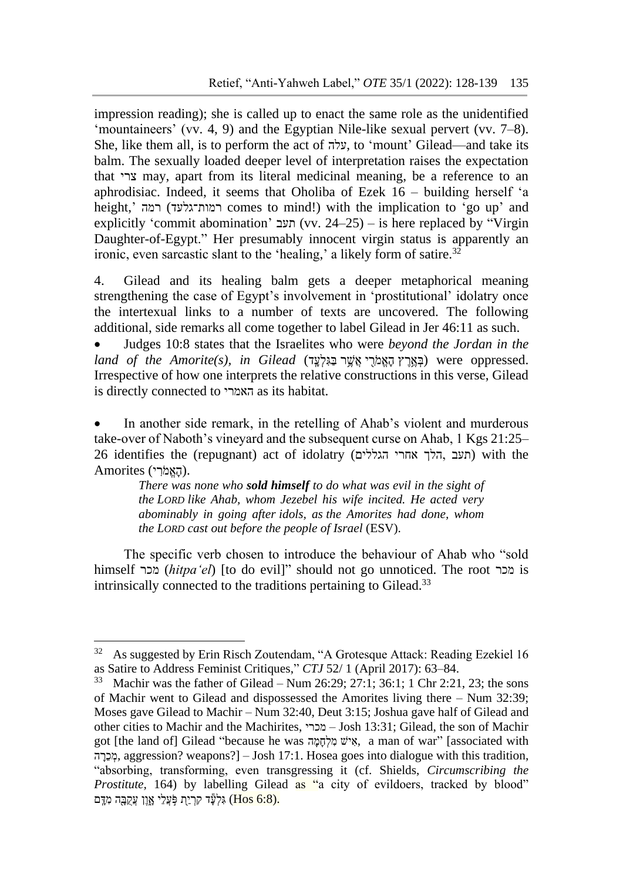impression reading); she is called up to enact the same role as the unidentified 'mountaineers' (vv. 4, 9) and the Egyptian Nile-like sexual pervert (vv. 7–8). She, like them all, is to perform the act of עלה, to 'mount' Gilead—and take its balm. The sexually loaded deeper level of interpretation raises the expectation that צרי may, apart from its literal medicinal meaning, be a reference to an aphrodisiac. Indeed, it seems that Oholiba of Ezek  $16$  – building herself 'a height,' רמה) רמות־גלעד comes to mind!) with the implication to 'go up' and explicitly 'commit abomination' תעב) (vv. 24–25) – is here replaced by "Virgin Daughter-of-Egypt." Her presumably innocent virgin status is apparently an ironic, even sarcastic slant to the 'healing,' a likely form of satire.<sup>32</sup>

4. Gilead and its healing balm gets a deeper metaphorical meaning strengthening the case of Egypt's involvement in 'prostitutional' idolatry once the intertexual links to a number of texts are uncovered. The following additional, side remarks all come together to label Gilead in Jer 46:11 as such.

• Judges 10:8 states that the Israelites who were *beyond the Jordan in the*   $land of the Amorite(s), in Gilead (g)$ בְּאֲמֹרִי אֲשֶׁר בַּגִּלְעָד) were oppressed. Irrespective of how one interprets the relative constructions in this verse, Gilead is directly connected to האמרי as its habitat.

In another side remark, in the retelling of Ahab's violent and murderous take-over of Naboth's vineyard and the subsequent curse on Ahab, 1 Kgs 21:25– 26 identifies the (repugnant) act of idolatry (העב הלך אחרי הגללים) with the .(הָּׁאֱמֹּרִ י) Amorites

> *There was none who sold himself to do what was evil in the sight of the LORD like Ahab, whom Jezebel his wife incited. He acted very abominably in going after idols, as the Amorites had done, whom the LORD cast out before the people of Israel* (ESV).

The specific verb chosen to introduce the behaviour of Ahab who "sold himself מכר) *hitpaʻel*) [to do evil]" should not go unnoticed. The root מכר is intrinsically connected to the traditions pertaining to Gilead.<sup>33</sup>

<sup>&</sup>lt;sup>32</sup> As suggested by Erin Risch Zoutendam, "A Grotesque Attack: Reading Ezekiel 16 as Satire to Address Feminist Critiques," *CTJ* 52/ 1 (April 2017): 63–84.

<sup>&</sup>lt;sup>33</sup> Machir was the father of Gilead – Num 26:29: 27:1; 36:1; 1 Chr 2:21, 23; the sons of Machir went to Gilead and dispossessed the Amorites living there – Num 32:39; Moses gave Gilead to Machir – Num 32:40, Deut 3:15; Joshua gave half of Gilead and other cities to Machir and the Machirites, מכרי – Josh 13:31; Gilead, the son of Machir got [the land of] Gilead "because he was ה ָּׁמָּׁחְל ִמ יש ִא, a man of war" [associated with הֲכֶרְה, aggression? weapons?] – Josh 17:1. Hosea goes into dialogue with this tradition, "absorbing, transforming, even transgressing it (cf. Shields, *Circumscribing the Prostitute*, 164) by labelling Gilead as "a city of evildoers, tracked by blood" גִלְעָּׂד קָרְיַתְ פְּעֲלֵי אָוֵן עַקָבָּה מָדָּם (Hos 6:8).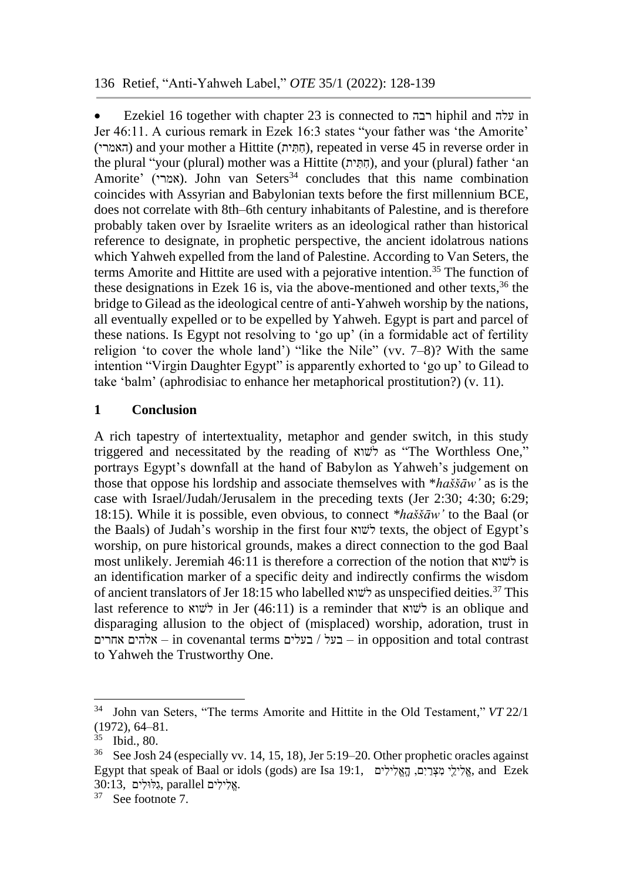• Ezekiel 16 together with chapter 23 is connected to רבה hiphil and עלה in Jer 46:11. A curious remark in Ezek 16:3 states "your father was 'the Amorite' (האמרי) and your mother a Hittite (הְתֵּית), repeated in verse 45 in reverse order in the plural "your (plural) mother was a Hittite (חֲתִּית), and your (plural) father 'an Amorite' (אמרי). John van Seters<sup>34</sup> concludes that this name combination coincides with Assyrian and Babylonian texts before the first millennium BCE, does not correlate with 8th–6th century inhabitants of Palestine, and is therefore probably taken over by Israelite writers as an ideological rather than historical reference to designate, in prophetic perspective, the ancient idolatrous nations which Yahweh expelled from the land of Palestine. According to Van Seters, the terms Amorite and Hittite are used with a pejorative intention. <sup>35</sup> The function of these designations in Ezek 16 is, via the above-mentioned and other texts, <sup>36</sup> the bridge to Gilead as the ideological centre of anti-Yahweh worship by the nations, all eventually expelled or to be expelled by Yahweh. Egypt is part and parcel of these nations. Is Egypt not resolving to 'go up' (in a formidable act of fertility religion 'to cover the whole land') "like the Nile" (vv. 7–8)? With the same intention "Virgin Daughter Egypt" is apparently exhorted to 'go up' to Gilead to take 'balm' (aphrodisiac to enhance her metaphorical prostitution?) (v. 11).

# **1 Conclusion**

A rich tapestry of intertextuality, metaphor and gender switch, in this study triggered and necessitated by the reading of לשוא as "The Worthless One," portrays Egypt's downfall at the hand of Babylon as Yahweh's judgement on those that oppose his lordship and associate themselves with \**haššāw'* as is the case with Israel/Judah/Jerusalem in the preceding texts (Jer 2:30; 4:30; 6:29; 18:15). While it is possible, even obvious, to connect *\*haššāw'* to the Baal (or the Baals) of Judah's worship in the first four לשוא texts, the object of Egypt's worship, on pure historical grounds, makes a direct connection to the god Baal most unlikely. Jeremiah 46:11 is therefore a correction of the notion that לשוא is an identification marker of a specific deity and indirectly confirms the wisdom of ancient translators of Jer 18:15 who labelled לשוא as unspecified deities. <sup>37</sup> This last reference to לשוא in Jer (46:11) is a reminder that לשוא is an oblique and disparaging allusion to the object of (misplaced) worship, adoration, trust in אלהים אחרים – in covenantal terms בעל $/$ בעלים – in opposition and total contrast to Yahweh the Trustworthy One.

<sup>34</sup> John van Seters, "The terms Amorite and Hittite in the Old Testament," *VT* 22/1 (1972), 64–81.

 $rac{35}{36}$  Ibid., 80.

See Josh 24 (especially vv. 14, 15, 18), Jer 5:19–20. Other prophetic oracles against Egypt that speak of Baal or idols (gods) are Isa 19:1, אֱלִילֵי מִצְרַיִם, הָאֱלִילִים בָּאֱלִילִים, and Ezek  $30:13$ , גלילים parallel, גלולים

<sup>37</sup> See footnote 7.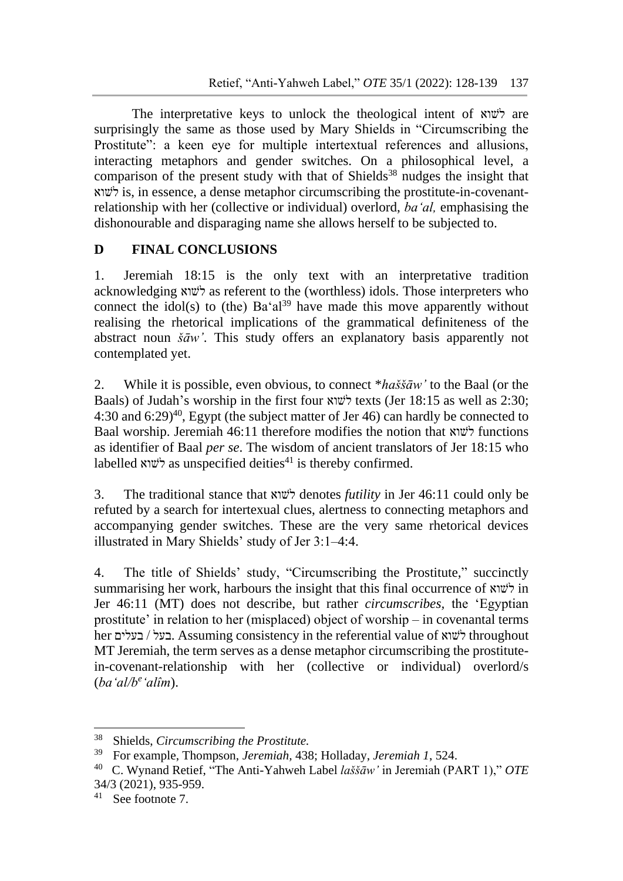The interpretative keys to unlock the theological intent of לשוא are surprisingly the same as those used by Mary Shields in "Circumscribing the Prostitute": a keen eye for multiple intertextual references and allusions, interacting metaphors and gender switches. On a philosophical level, a comparison of the present study with that of Shields<sup>38</sup> nudges the insight that לשוא is, in essence, a dense metaphor circumscribing the prostitute-in-covenantrelationship with her (collective or individual) overlord, *ba'al,* emphasising the dishonourable and disparaging name she allows herself to be subjected to.

# **D FINAL CONCLUSIONS**

1. Jeremiah 18:15 is the only text with an interpretative tradition acknowledging לשוא as referent to the (worthless) idols. Those interpreters who connect the idol(s) to (the)  $Ba'al^{39}$  have made this move apparently without realising the rhetorical implications of the grammatical definiteness of the abstract noun *šāw'*. This study offers an explanatory basis apparently not contemplated yet.

2. While it is possible, even obvious, to connect \**haššāw'* to the Baal (or the Baals) of Judah's worship in the first four לשוא texts (Jer 18:15 as well as 2:30; 4:30 and 6:29) <sup>40</sup>, Egypt (the subject matter of Jer 46) can hardly be connected to Baal worship. Jeremiah 46:11 therefore modifies the notion that לשוא functions as identifier of Baal *per se*. The wisdom of ancient translators of Jer 18:15 who labelled לשוא as unspecified deities<sup>41</sup> is thereby confirmed.

3. The traditional stance that לשוא denotes *futility* in Jer 46:11 could only be refuted by a search for intertexual clues, alertness to connecting metaphors and accompanying gender switches. These are the very same rhetorical devices illustrated in Mary Shields' study of Jer 3:1–4:4.

4. The title of Shields' study, "Circumscribing the Prostitute," succinctly summarising her work, harbours the insight that this final occurrence of לשוא in Jer 46:11 (MT) does not describe, but rather *circumscribes,* the 'Egyptian prostitute' in relation to her (misplaced) object of worship – in covenantal terms her בעלים / בעל. Assuming consistency in the referential value of לשוא throughout MT Jeremiah, the term serves as a dense metaphor circumscribing the prostitutein-covenant-relationship with her (collective or individual) overlord/s (*ba'al/b<sup>e</sup> 'alîm*).

<sup>38</sup> <sup>38</sup> Shields, *Circumscribing the Prostitute.*

<sup>39</sup> For example, Thompson, *Jeremiah,* 438; Holladay, *Jeremiah 1*, 524.

<sup>40</sup> C. Wynand Retief, "The Anti-Yahweh Label *laššāw'* in Jeremiah (PART 1)," *OTE* 34/3 (2021), 935-959.

<sup>41</sup> See footnote 7.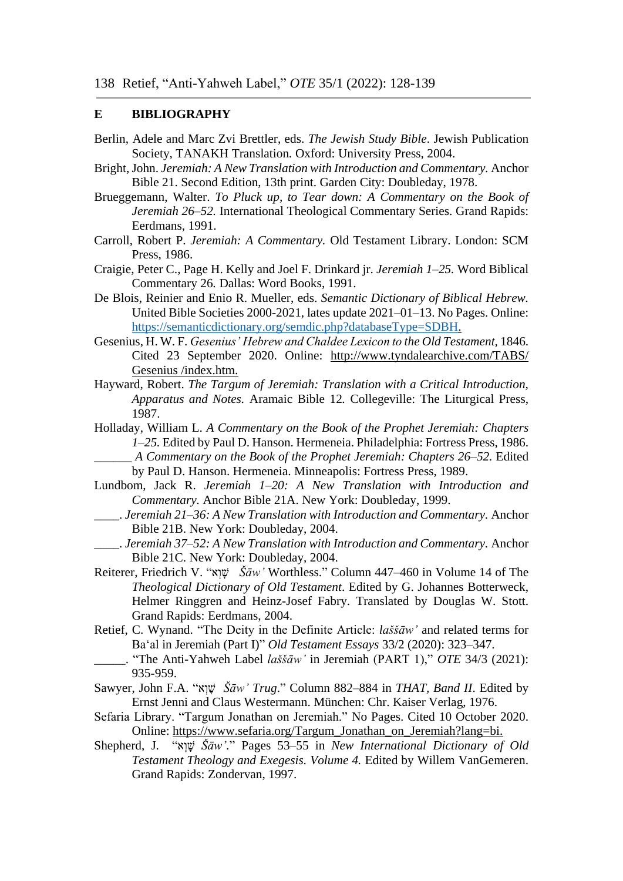#### **E BIBLIOGRAPHY**

- Berlin, Adele and Marc Zvi Brettler, eds. *The Jewish Study Bible*. Jewish Publication Society, TANAKH Translation*.* Oxford: University Press, 2004.
- Bright, John. *Jeremiah: A New Translation with Introduction and Commentary.* Anchor Bible 21. Second Edition, 13th print. Garden City: Doubleday, 1978.
- Brueggemann, Walter. *To Pluck up, to Tear down: A Commentary on the Book of Jeremiah 26–52.* International Theological Commentary Series. Grand Rapids: Eerdmans, 1991.
- Carroll, Robert P. *Jeremiah: A Commentary.* Old Testament Library. London: SCM Press, 1986.
- Craigie, Peter C., Page H. Kelly and Joel F. Drinkard jr. *Jeremiah 1–25.* Word Biblical Commentary 26*.* Dallas: Word Books, 1991.
- De Blois, Reinier and Enio R. Mueller, eds. *Semantic Dictionary of Biblical Hebrew.*  United Bible Societies 2000-2021, lates update 2021–01–13. No Pages. Online: [https://semanticdictionary.org/semdic.php?databaseType=SDBH.](https://semanticdictionary.org/semdic.php?databaseType=SDBH)
- Gesenius, H. W. F. *Gesenius' Hebrew and Chaldee Lexicon to the Old Testament,* 1846. Cited 23 September 2020. Online: [http://www.tyndalearchive.com/TABS/](http://www.tyndalearchive.com/TABS/%20Gesenius%20/index.htm)  [Gesenius /index.htm.](http://www.tyndalearchive.com/TABS/%20Gesenius%20/index.htm)
- Hayward, Robert. *The Targum of Jeremiah: Translation with a Critical Introduction, Apparatus and Notes.* Aramaic Bible 12*.* Collegeville: The Liturgical Press, 1987.
- Holladay, William L. *A Commentary on the Book of the Prophet Jeremiah: Chapters 1–25.* Edited by Paul D. Hanson. Hermeneia. Philadelphia: Fortress Press, 1986. \_\_\_\_\_\_ *A Commentary on the Book of the Prophet Jeremiah: Chapters 26–52.* Edited by Paul D. Hanson. Hermeneia. Minneapolis: Fortress Press, 1989.
- Lundbom, Jack R. *Jeremiah 1–20: A New Translation with Introduction and Commentary.* Anchor Bible 21A. New York: Doubleday, 1999.
- \_\_\_\_. *Jeremiah 21–36: A New Translation with Introduction and Commentary.* Anchor Bible 21B. New York: Doubleday, 2004.
- \_\_\_\_. *Jeremiah 37–52: A New Translation with Introduction and Commentary.* Anchor Bible 21C. New York: Doubleday, 2004.
- Reiterer, Friedrich V. "אָיָא*"*  $\check{S}\bar{a}w'$  Worthless." Column 447–460 in Volume 14 of The *Theological Dictionary of Old Testament*. Edited by G. Johannes Botterweck, Helmer Ringgren and Heinz-Josef Fabry. Translated by Douglas W. Stott. Grand Rapids: Eerdmans, 2004.
- Retief, C. Wynand. "The Deity in the Definite Article: *laššāw'* and related terms for Baʻal in Jeremiah (Part I)" *Old Testament Essays* 33/2 (2020): 323–347.
- \_\_\_\_\_. "The Anti-Yahweh Label *laššāw'* in Jeremiah (PART 1)," *OTE* 34/3 (2021): 935-959.
- Sawyer, John F.A. "א ְו ָּׁש *Šāw' Trug*." Column 882–884 in *THAT, Band II*. Edited by Ernst Jenni and Claus Westermann. München: Chr. Kaiser Verlag, 1976.
- Sefaria Library. "Targum Jonathan on Jeremiah." No Pages. Cited 10 October 2020. Online: [https://www.sefaria.org/Targum\\_Jonathan\\_on\\_Jeremiah?lang=bi.](https://www.sefaria.org/Targum_Jonathan_on_Jeremiah?lang=bi)
- Shepherd, J. "א ְו ָּׁש *Šāw'.*" Pages 53–55 in *New International Dictionary of Old Testament Theology and Exegesis. Volume 4.* Edited by Willem VanGemeren. Grand Rapids: Zondervan, 1997.